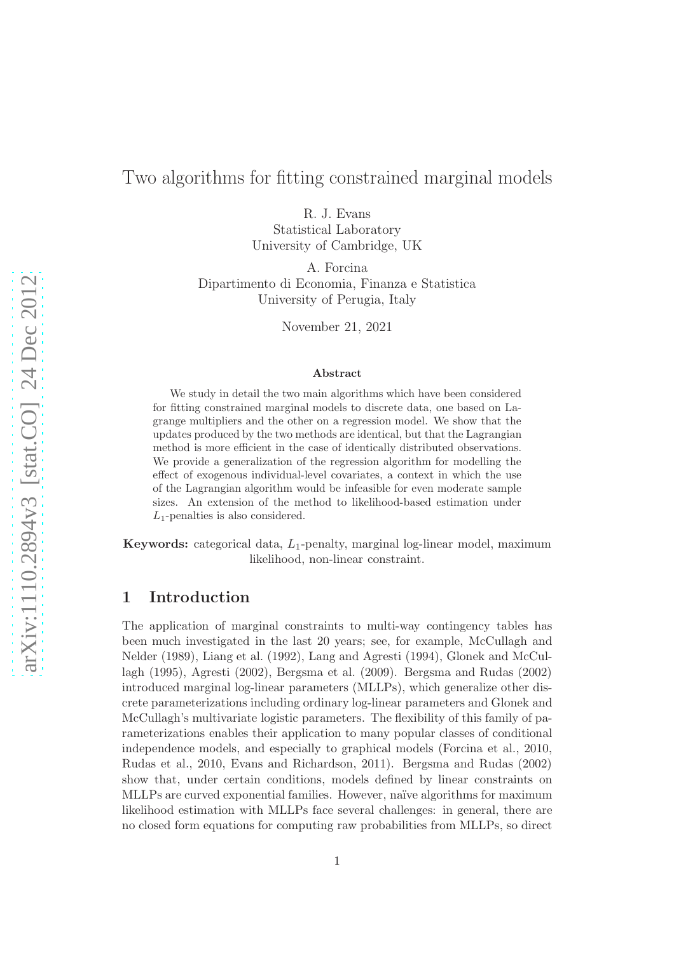# Two algorithms for fitting constrained marginal models

R. J. Evans

Statistical Laboratory University of Cambridge, UK

A. Forcina Dipartimento di Economia, Finanza e Statistica University of Perugia, Italy

November 21, 2021

#### Abstract

We study in detail the two main algorithms which have been considered for fitting constrained marginal models to discrete data, one based on Lagrange multipliers and the other on a regression model. We show that the updates produced by the two methods are identical, but that the Lagrangian method is more efficient in the case of identically distributed observations. We provide a generalization of the regression algorithm for modelling the effect of exogenous individual-level covariates, a context in which the use of the Lagrangian algorithm would be infeasible for even moderate sample sizes. An extension of the method to likelihood-based estimation under  $L_1$ -penalties is also considered.

**Keywords:** categorical data,  $L_1$ -penalty, marginal log-linear model, maximum likelihood, non-linear constraint.

## 1 Introduction

The application of marginal constraints to multi-way contingency tables has been much investigated in the last 20 years; see, for example, McCullagh and Nelder (1989), Liang et al. (1992), Lang and Agresti (1994), Glonek and McCullagh (1995), Agresti (2002), Bergsma et al. (2009). Bergsma and Rudas (2002) introduced marginal log-linear parameters (MLLPs), which generalize other discrete parameterizations including ordinary log-linear parameters and Glonek and McCullagh's multivariate logistic parameters. The flexibility of this family of parameterizations enables their application to many popular classes of conditional independence models, and especially to graphical models (Forcina et al., 2010, Rudas et al., 2010, Evans and Richardson, 2011). Bergsma and Rudas (2002) show that, under certain conditions, models defined by linear constraints on MLLPs are curved exponential families. However, na¨ıve algorithms for maximum likelihood estimation with MLLPs face several challenges: in general, there are no closed form equations for computing raw probabilities from MLLPs, so direct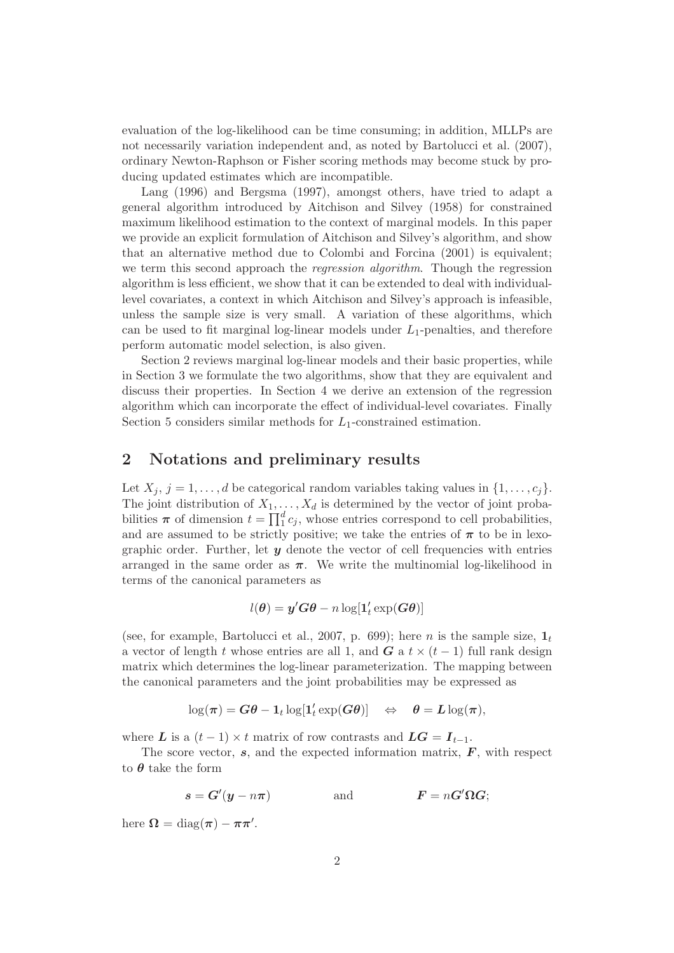evaluation of the log-likelihood can be time consuming; in addition, MLLPs are not necessarily variation independent and, as noted by Bartolucci et al. (2007), ordinary Newton-Raphson or Fisher scoring methods may become stuck by producing updated estimates which are incompatible.

Lang (1996) and Bergsma (1997), amongst others, have tried to adapt a general algorithm introduced by Aitchison and Silvey (1958) for constrained maximum likelihood estimation to the context of marginal models. In this paper we provide an explicit formulation of Aitchison and Silvey's algorithm, and show that an alternative method due to Colombi and Forcina (2001) is equivalent; we term this second approach the *regression algorithm*. Though the regression algorithm is less efficient, we show that it can be extended to deal with individuallevel covariates, a context in which Aitchison and Silvey's approach is infeasible, unless the sample size is very small. A variation of these algorithms, which can be used to fit marginal log-linear models under  $L_1$ -penalties, and therefore perform automatic model selection, is also given.

Section 2 reviews marginal log-linear models and their basic properties, while in Section 3 we formulate the two algorithms, show that they are equivalent and discuss their properties. In Section 4 we derive an extension of the regression algorithm which can incorporate the effect of individual-level covariates. Finally Section 5 considers similar methods for  $L_1$ -constrained estimation.

### 2 Notations and preliminary results

Let  $X_j$ ,  $j = 1, \ldots, d$  be categorical random variables taking values in  $\{1, \ldots, c_i\}$ . The joint distribution of  $X_1, \ldots, X_d$  is determined by the vector of joint probabilities  $\pi$  of dimension  $t = \prod_1^d c_j$ , whose entries correspond to cell probabilities, and are assumed to be strictly positive; we take the entries of  $\pi$  to be in lexographic order. Further, let  $y$  denote the vector of cell frequencies with entries arranged in the same order as  $\pi$ . We write the multinomial log-likelihood in terms of the canonical parameters as

$$
l(\boldsymbol{\theta}) = \boldsymbol{y}'\boldsymbol{G}\boldsymbol{\theta} - n\log[\boldsymbol{1}_t'\exp(\boldsymbol{G}\boldsymbol{\theta})]
$$

(see, for example, Bartolucci et al., 2007, p. 699); here *n* is the sample size,  $\mathbf{1}_t$ a vector of length t whose entries are all 1, and G a t  $\times$  (t - 1) full rank design matrix which determines the log-linear parameterization. The mapping between the canonical parameters and the joint probabilities may be expressed as

$$
\log(\pi) = G\theta - \mathbf{1}_t \log[\mathbf{1}'_t \exp(G\theta)] \quad \Leftrightarrow \quad \theta = L \log(\pi),
$$

where L is a  $(t-1) \times t$  matrix of row contrasts and  $LG = I_{t-1}$ .

The score vector,  $s$ , and the expected information matrix,  $\vec{F}$ , with respect to  $\theta$  take the form

$$
s = G'(y - n\pi) \quad \text{and} \quad F = nG'\Omega G;
$$

here  $\Omega = \text{diag}(\pi) - \pi \pi'$ .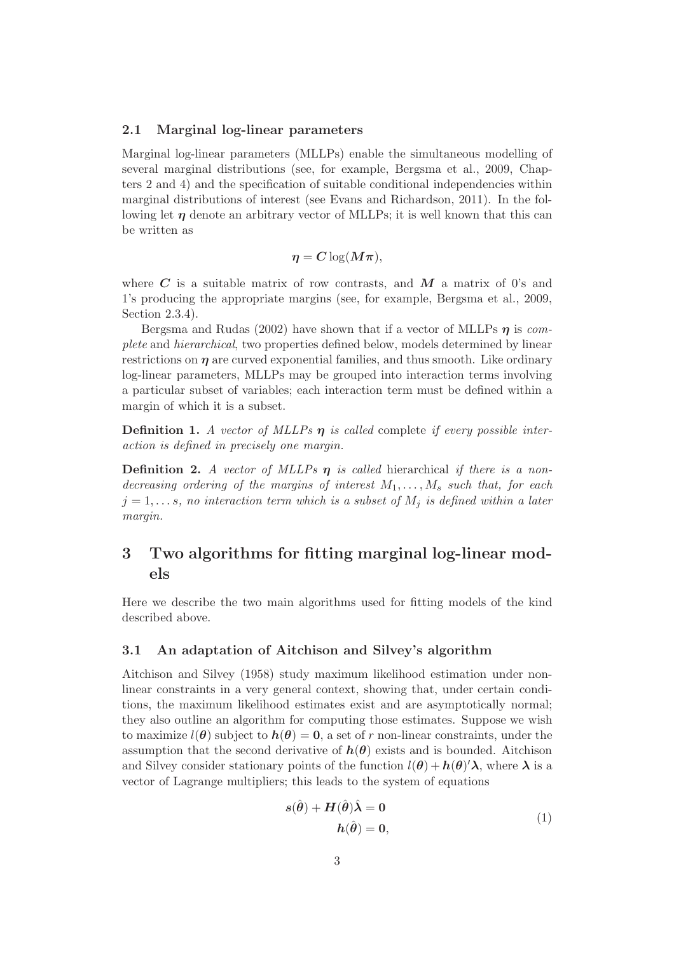#### 2.1 Marginal log-linear parameters

Marginal log-linear parameters (MLLPs) enable the simultaneous modelling of several marginal distributions (see, for example, Bergsma et al., 2009, Chapters 2 and 4) and the specification of suitable conditional independencies within marginal distributions of interest (see Evans and Richardson, 2011). In the following let  $\eta$  denote an arbitrary vector of MLLPs; it is well known that this can be written as

$$
\eta = C \log(M\pi),
$$

where  $C$  is a suitable matrix of row contrasts, and  $M$  a matrix of 0's and 1's producing the appropriate margins (see, for example, Bergsma et al., 2009, Section 2.3.4).

Bergsma and Rudas (2002) have shown that if a vector of MLLPs  $\eta$  is *complete* and *hierarchical*, two properties defined below, models determined by linear restrictions on  $\eta$  are curved exponential families, and thus smooth. Like ordinary log-linear parameters, MLLPs may be grouped into interaction terms involving a particular subset of variables; each interaction term must be defined within a margin of which it is a subset.

**Definition 1.** *A vector of MLLPs*  $\eta$  *is called* complete *if every possible interaction is defined in precisely one margin.*

Definition 2. *A vector of MLLPs* η *is called* hierarchical *if there is a nondecreasing ordering of the margins of interest* M1, . . . , M<sup>s</sup> *such that, for each*  $j = 1, \ldots s$ , no interaction term which is a subset of  $M_j$  is defined within a later *margin.*

# 3 Two algorithms for fitting marginal log-linear models

Here we describe the two main algorithms used for fitting models of the kind described above.

#### 3.1 An adaptation of Aitchison and Silvey's algorithm

Aitchison and Silvey (1958) study maximum likelihood estimation under nonlinear constraints in a very general context, showing that, under certain conditions, the maximum likelihood estimates exist and are asymptotically normal; they also outline an algorithm for computing those estimates. Suppose we wish to maximize  $l(\theta)$  subject to  $h(\theta) = 0$ , a set of r non-linear constraints, under the assumption that the second derivative of  $h(\theta)$  exists and is bounded. Aitchison and Silvey consider stationary points of the function  $l(\theta) + h(\theta)^{\prime} \lambda$ , where  $\lambda$  is a vector of Lagrange multipliers; this leads to the system of equations

$$
s(\hat{\theta}) + H(\hat{\theta})\hat{\lambda} = 0
$$
  
 
$$
h(\hat{\theta}) = 0,
$$
 (1)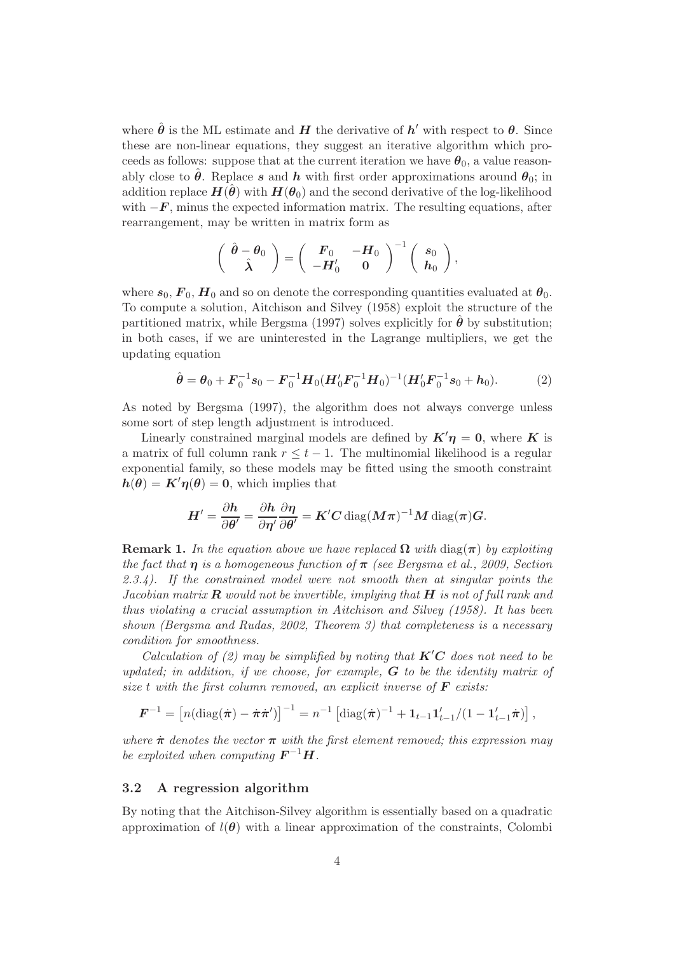where  $\hat{\boldsymbol{\theta}}$  is the ML estimate and  $\boldsymbol{H}$  the derivative of  $\boldsymbol{h}'$  with respect to  $\boldsymbol{\theta}$ . Since these are non-linear equations, they suggest an iterative algorithm which proceeds as follows: suppose that at the current iteration we have  $\theta_0$ , a value reasonably close to  $\hat{\theta}$ . Replace s and h with first order approximations around  $\theta_0$ ; in addition replace  $H(\theta)$  with  $H(\theta_0)$  and the second derivative of the log-likelihood with  $-F$ , minus the expected information matrix. The resulting equations, after rearrangement, may be written in matrix form as

$$
\left(\begin{array}{cc} \hat{\theta}-\theta_0 \\ \hat{\lambda} \end{array}\right)=\left(\begin{array}{cc} F_0 & -H_0 \\ -H_0' & 0 \end{array}\right)^{-1}\left(\begin{array}{c} s_0 \\ h_0 \end{array}\right),
$$

where  $s_0$ ,  $\mathbf{F}_0$ ,  $\mathbf{H}_0$  and so on denote the corresponding quantities evaluated at  $\theta_0$ . To compute a solution, Aitchison and Silvey (1958) exploit the structure of the partitioned matrix, while Bergsma (1997) solves explicitly for  $\theta$  by substitution; in both cases, if we are uninterested in the Lagrange multipliers, we get the updating equation

$$
\hat{\boldsymbol{\theta}} = \boldsymbol{\theta}_0 + \boldsymbol{F}_0^{-1} \boldsymbol{s}_0 - \boldsymbol{F}_0^{-1} \boldsymbol{H}_0 (\boldsymbol{H}_0' \boldsymbol{F}_0^{-1} \boldsymbol{H}_0)^{-1} (\boldsymbol{H}_0' \boldsymbol{F}_0^{-1} \boldsymbol{s}_0 + \boldsymbol{h}_0). \tag{2}
$$

As noted by Bergsma (1997), the algorithm does not always converge unless some sort of step length adjustment is introduced.

Linearly constrained marginal models are defined by  $K' \eta = 0$ , where K is a matrix of full column rank  $r \leq t - 1$ . The multinomial likelihood is a regular exponential family, so these models may be fitted using the smooth constraint  $h(\theta) = K'\eta(\theta) = 0$ , which implies that

$$
H' = \frac{\partial h}{\partial \theta'} = \frac{\partial h}{\partial \eta'} \frac{\partial \eta}{\partial \theta'} = K'C \operatorname{diag}(M\pi)^{-1} M \operatorname{diag}(\pi) G.
$$

**Remark 1.** In the equation above we have replaced  $\Omega$  with diag( $\pi$ ) by exploiting *the fact that* η *is a homogeneous function of* π *(see Bergsma et al., 2009, Section 2.3.4). If the constrained model were not smooth then at singular points the Jacobian matrix* R *would not be invertible, implying that* H *is not of full rank and thus violating a crucial assumption in Aitchison and Silvey (1958). It has been shown (Bergsma and Rudas, 2002, Theorem 3) that completeness is a necessary condition for smoothness.*

*Calculation of (2) may be simplified by noting that*  $K'C$  *does not need to be updated; in addition, if we choose, for example,* G *to be the identity matrix of size* t *with the first column removed, an explicit inverse of* F *exists:*

$$
\boldsymbol{F}^{-1} = \left[ n(\text{diag}(\dot{\boldsymbol{\pi}}) - \dot{\boldsymbol{\pi}} \dot{\boldsymbol{\pi}}') \right]^{-1} = n^{-1} \left[ \text{diag}(\dot{\boldsymbol{\pi}})^{-1} + \mathbf{1}_{t-1} \mathbf{1}_{t-1}' / (1 - \mathbf{1}_{t-1}' \dot{\boldsymbol{\pi}}) \right],
$$

*where*  $\dot{\pi}$  *denotes the vector*  $\pi$  *with the first element removed; this expression may be exploited when computing*  $\boldsymbol{F}^{-1}\boldsymbol{H}$ .

#### 3.2 A regression algorithm

By noting that the Aitchison-Silvey algorithm is essentially based on a quadratic approximation of  $l(\theta)$  with a linear approximation of the constraints, Colombi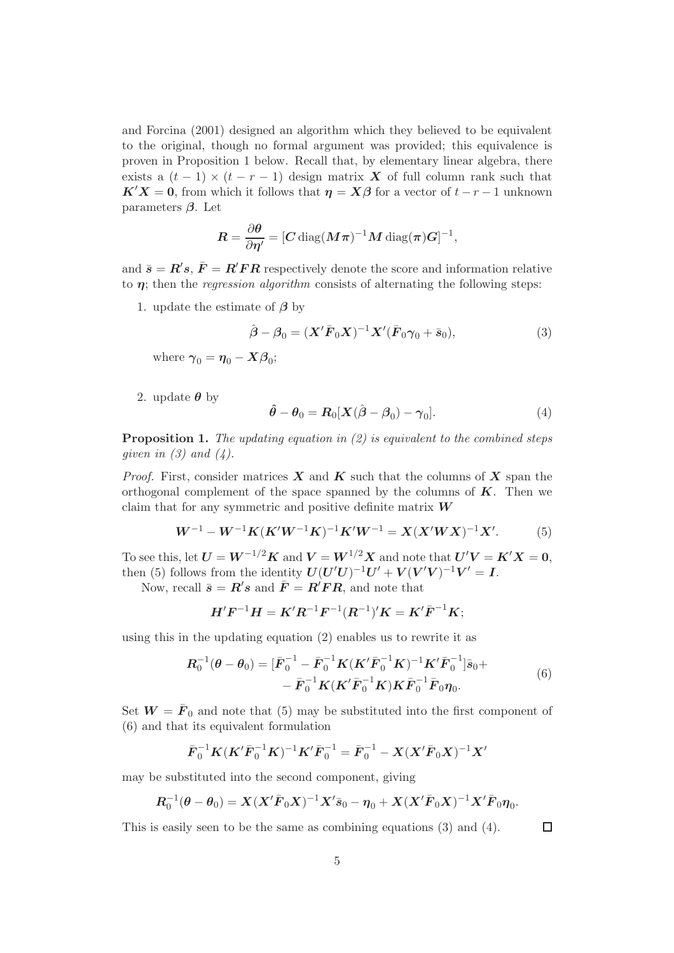and Forcina (2001) designed an algorithm which they believed to be equivalent to the original, though no formal argument was provided; this equivalence is proven in Proposition 1 below. Recall that, by elementary linear algebra, there exists a  $(t-1) \times (t-r-1)$  design matrix X of full column rank such that  $K'X = 0$ , from which it follows that  $\eta = X\beta$  for a vector of  $t - r - 1$  unknown parameters  $\beta$ . Let

$$
\boldsymbol{R} = \frac{\partial \boldsymbol{\theta}}{\partial \boldsymbol{\eta}^\prime} = [\boldsymbol{C} \, \mathrm{diag}(\boldsymbol{M} \boldsymbol{\pi})^{-1} \boldsymbol{M} \, \mathrm{diag}(\boldsymbol{\pi}) \boldsymbol{G}]^{-1},
$$

and  $\bar{s} = R's$ ,  $\bar{F} = R'FR$  respectively denote the score and information relative to  $\eta$ ; then the *regression algorithm* consists of alternating the following steps:

1. update the estimate of  $\beta$  by

$$
\hat{\boldsymbol{\beta}} - \boldsymbol{\beta}_0 = (\boldsymbol{X}' \bar{\boldsymbol{F}}_0 \boldsymbol{X})^{-1} \boldsymbol{X}' (\bar{\boldsymbol{F}}_0 \boldsymbol{\gamma}_0 + \bar{\boldsymbol{s}}_0), \tag{3}
$$

where  $\boldsymbol{\gamma}_0 = \boldsymbol{\eta}_0 - \boldsymbol{X}\boldsymbol{\beta}_0;$ 

2. update  $\theta$  by

$$
\hat{\boldsymbol{\theta}} - \boldsymbol{\theta}_0 = \boldsymbol{R}_0[\boldsymbol{X}(\hat{\boldsymbol{\beta}} - \boldsymbol{\beta}_0) - \boldsymbol{\gamma}_0]. \tag{4}
$$

Proposition 1. *The updating equation in (2) is equivalent to the combined steps given in (3) and (4).*

*Proof.* First, consider matrices  $X$  and  $K$  such that the columns of  $X$  span the orthogonal complement of the space spanned by the columns of  $K$ . Then we claim that for any symmetric and positive definite matrix  $W$ 

$$
W^{-1} - W^{-1}K(K'W^{-1}K)^{-1}K'W^{-1} = X(X'WX)^{-1}X'. \tag{5}
$$

To see this, let  $U = W^{-1/2}K$  and  $V = W^{1/2}X$  and note that  $U'V = K'X = 0$ . then (5) follows from the identity  $U(U'U)^{-1}U' + V(V'V)^{-1}V' = I$ .

Now, recall  $\bar{s} = R's$  and  $\bar{F} = R'FR$ , and note that

$$
\bm{H}'\bm{F}^{-1}\bm{H} = \bm{K}'\bm{R}^{-1}\bm{F}^{-1}(\bm{R}^{-1})'\bm{K} = \bm{K}'\bar{\bm{F}}^{-1}\bm{K};
$$

using this in the updating equation (2) enables us to rewrite it as

$$
\mathbf{R}_0^{-1}(\boldsymbol{\theta} - \boldsymbol{\theta}_0) = [\bar{\boldsymbol{F}}_0^{-1} - \bar{\boldsymbol{F}}_0^{-1} \boldsymbol{K} (\boldsymbol{K}' \bar{\boldsymbol{F}}_0^{-1} \boldsymbol{K})^{-1} \boldsymbol{K}' \bar{\boldsymbol{F}}_0^{-1}] \bar{\boldsymbol{s}}_0 + \n- \bar{\boldsymbol{F}}_0^{-1} \boldsymbol{K} (\boldsymbol{K}' \bar{\boldsymbol{F}}_0^{-1} \boldsymbol{K}) \boldsymbol{K} \bar{\boldsymbol{F}}_0^{-1} \bar{\boldsymbol{F}}_0 \boldsymbol{\eta}_0.
$$
\n(6)

Set  $W = \bar{F}_0$  and note that (5) may be substituted into the first component of (6) and that its equivalent formulation

$$
\bar{F}_0^{-1}K(K'\bar{F}_0^{-1}K)^{-1}K'\bar{F}_0^{-1} = \bar{F}_0^{-1} - X(X'\bar{F}_0X)^{-1}X'
$$

may be substituted into the second component, giving

$$
R_0^{-1}(\theta - \theta_0) = X(X'\bar{F}_0X)^{-1}X'\bar{s}_0 - \eta_0 + X(X'\bar{F}_0X)^{-1}X'\bar{F}_0\eta_0.
$$

This is easily seen to be the same as combining equations (3) and (4).

 $\Box$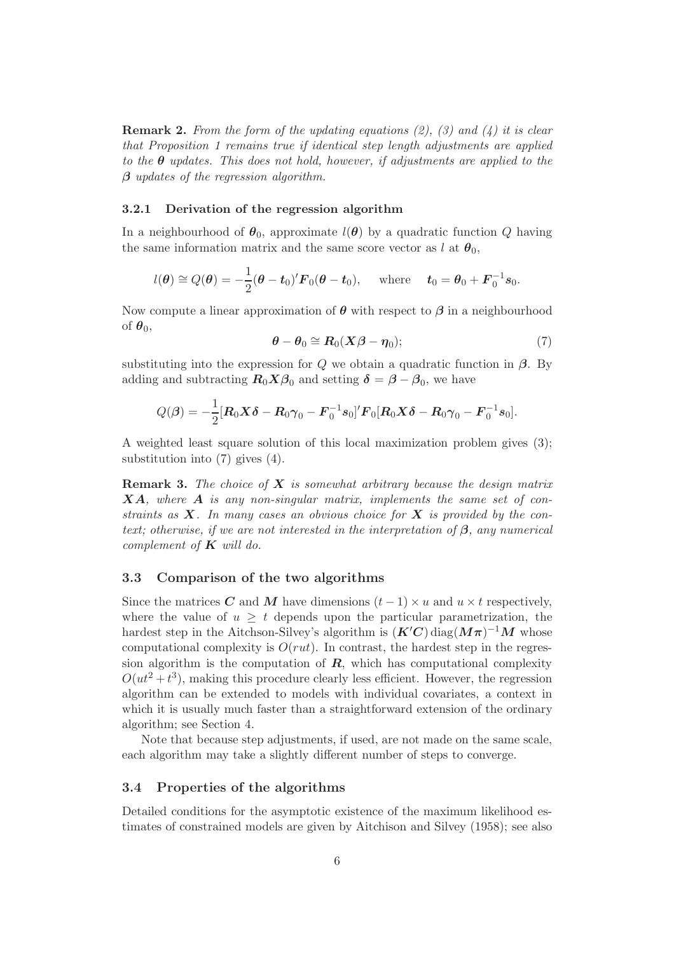Remark 2. *From the form of the updating equations (2), (3) and (4) it is clear that Proposition 1 remains true if identical step length adjustments are applied to the* θ *updates. This does not hold, however, if adjustments are applied to the* β *updates of the regression algorithm.*

#### 3.2.1 Derivation of the regression algorithm

In a neighbourhood of  $\theta_0$ , approximate  $l(\theta)$  by a quadratic function Q having the same information matrix and the same score vector as l at  $\theta_0$ ,

$$
l(\boldsymbol{\theta}) \cong Q(\boldsymbol{\theta}) = -\frac{1}{2}(\boldsymbol{\theta} - \boldsymbol{t}_0)' \boldsymbol{F}_0(\boldsymbol{\theta} - \boldsymbol{t}_0), \text{ where } \boldsymbol{t}_0 = \boldsymbol{\theta}_0 + \boldsymbol{F}_0^{-1} \boldsymbol{s}_0.
$$

Now compute a linear approximation of  $\theta$  with respect to  $\beta$  in a neighbourhood of  $\theta_0$ ,

$$
\boldsymbol{\theta} - \boldsymbol{\theta}_0 \cong \boldsymbol{R}_0 (\boldsymbol{X} \boldsymbol{\beta} - \boldsymbol{\eta}_0); \tag{7}
$$

substituting into the expression for  $Q$  we obtain a quadratic function in  $\beta$ . By adding and subtracting  $R_0 X \beta_0$  and setting  $\delta = \beta - \beta_0$ , we have

$$
Q(\boldsymbol{\beta}) = -\frac{1}{2} [\boldsymbol{R}_0 \boldsymbol{X} \boldsymbol{\delta} - \boldsymbol{R}_0 \boldsymbol{\gamma}_0 - \boldsymbol{F}_0^{-1} \boldsymbol{s}_0]' \boldsymbol{F}_0 [\boldsymbol{R}_0 \boldsymbol{X} \boldsymbol{\delta} - \boldsymbol{R}_0 \boldsymbol{\gamma}_0 - \boldsymbol{F}_0^{-1} \boldsymbol{s}_0].
$$

A weighted least square solution of this local maximization problem gives (3); substitution into (7) gives (4).

Remark 3. *The choice of* X *is somewhat arbitrary because the design matrix* XA*, where* A *is any non-singular matrix, implements the same set of constraints as* X*. In many cases an obvious choice for* X *is provided by the context; otherwise, if we are not interested in the interpretation of* β*, any numerical complement of* K *will do.*

#### 3.3 Comparison of the two algorithms

Since the matrices C and M have dimensions  $(t-1) \times u$  and  $u \times t$  respectively, where the value of  $u \geq t$  depends upon the particular parametrization, the hardest step in the Aitchson-Silvey's algorithm is  $(K'C)$  diag $(M\pi)^{-1}M$  whose computational complexity is  $O(rut)$ . In contrast, the hardest step in the regression algorithm is the computation of  $\mathbf{R}$ , which has computational complexity  $O(ut^2 + t^3)$ , making this procedure clearly less efficient. However, the regression algorithm can be extended to models with individual covariates, a context in which it is usually much faster than a straightforward extension of the ordinary algorithm; see Section 4.

Note that because step adjustments, if used, are not made on the same scale, each algorithm may take a slightly different number of steps to converge.

#### 3.4 Properties of the algorithms

Detailed conditions for the asymptotic existence of the maximum likelihood estimates of constrained models are given by Aitchison and Silvey (1958); see also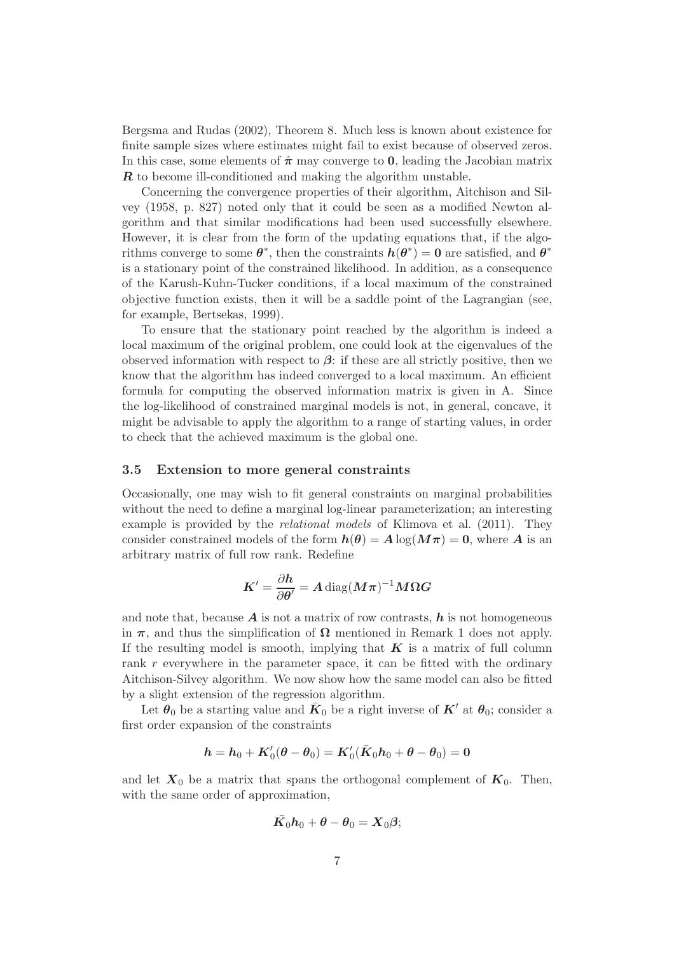Bergsma and Rudas (2002), Theorem 8. Much less is known about existence for finite sample sizes where estimates might fail to exist because of observed zeros. In this case, some elements of  $\hat{\pi}$  may converge to **0**, leading the Jacobian matrix **R** to become ill-conditioned and making the algorithm unstable.

Concerning the convergence properties of their algorithm, Aitchison and Silvey (1958, p. 827) noted only that it could be seen as a modified Newton algorithm and that similar modifications had been used successfully elsewhere. However, it is clear from the form of the updating equations that, if the algorithms converge to some  $\theta^*$ , then the constraints  $h(\theta^*) = 0$  are satisfied, and  $\theta^*$ is a stationary point of the constrained likelihood. In addition, as a consequence of the Karush-Kuhn-Tucker conditions, if a local maximum of the constrained objective function exists, then it will be a saddle point of the Lagrangian (see, for example, Bertsekas, 1999).

To ensure that the stationary point reached by the algorithm is indeed a local maximum of the original problem, one could look at the eigenvalues of the observed information with respect to  $\beta$ : if these are all strictly positive, then we know that the algorithm has indeed converged to a local maximum. An efficient formula for computing the observed information matrix is given in A. Since the log-likelihood of constrained marginal models is not, in general, concave, it might be advisable to apply the algorithm to a range of starting values, in order to check that the achieved maximum is the global one.

#### 3.5 Extension to more general constraints

Occasionally, one may wish to fit general constraints on marginal probabilities without the need to define a marginal log-linear parameterization; an interesting example is provided by the *relational models* of Klimova et al. (2011). They consider constrained models of the form  $h(\theta) = A \log(M\pi) = 0$ , where A is an arbitrary matrix of full row rank. Redefine

$$
K' = \frac{\partial h}{\partial \theta'} = A \operatorname{diag}(M\pi)^{-1} M \Omega G
$$

and note that, because  $\boldsymbol{A}$  is not a matrix of row contrasts,  $\boldsymbol{h}$  is not homogeneous in  $\pi$ , and thus the simplification of  $\Omega$  mentioned in Remark 1 does not apply. If the resulting model is smooth, implying that  $K$  is a matrix of full column rank r everywhere in the parameter space, it can be fitted with the ordinary Aitchison-Silvey algorithm. We now show how the same model can also be fitted by a slight extension of the regression algorithm.

Let  $\theta_0$  be a starting value and  $\bar{K}_0$  be a right inverse of  $K'$  at  $\theta_0$ ; consider a first order expansion of the constraints

$$
\boldsymbol{h}=\boldsymbol{h}_0+\boldsymbol{K}'_0(\boldsymbol{\theta}-\boldsymbol{\theta}_0)=\boldsymbol{K}'_0(\bar{\boldsymbol{K}}_0\boldsymbol{h}_0+\boldsymbol{\theta}-\boldsymbol{\theta}_0)=\boldsymbol{0}
$$

and let  $X_0$  be a matrix that spans the orthogonal complement of  $K_0$ . Then, with the same order of approximation,

$$
\bar{K_0}h_0+\theta-\theta_0=X_0\beta;
$$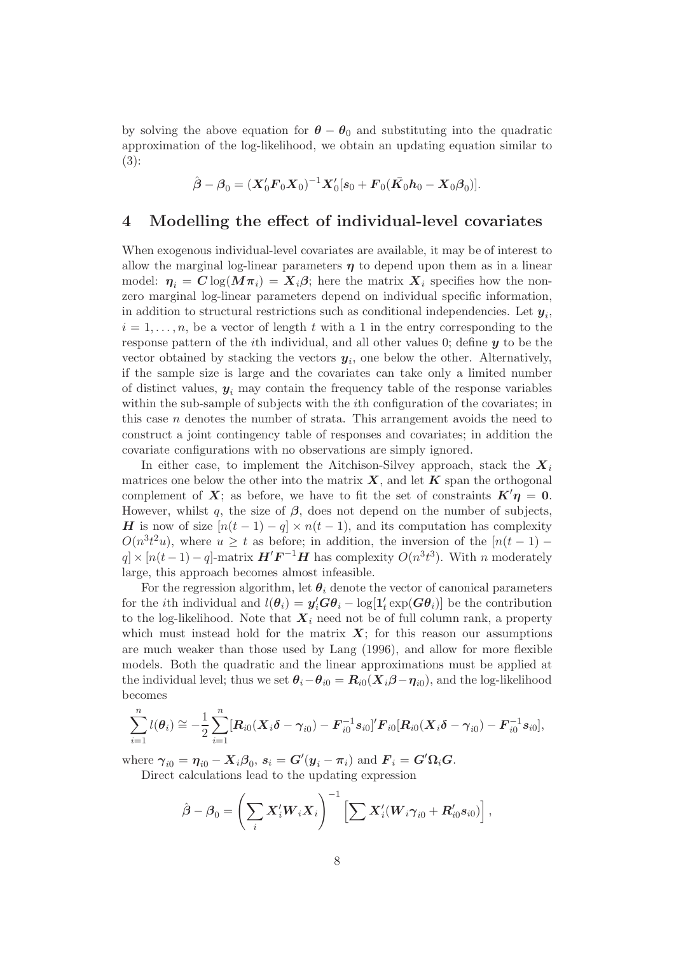by solving the above equation for  $\theta - \theta_0$  and substituting into the quadratic approximation of the log-likelihood, we obtain an updating equation similar to (3):

$$
\hat{\boldsymbol{\beta}} - \boldsymbol{\beta}_0 = (\boldsymbol{X}_0'\boldsymbol{F}_0\boldsymbol{X}_0)^{-1}\boldsymbol{X}_0'[\boldsymbol{s}_0 + \boldsymbol{F}_0(\bar{\boldsymbol{K}_0}\boldsymbol{h}_0 - \boldsymbol{X}_0\boldsymbol{\beta}_0)].
$$

# 4 Modelling the effect of individual-level covariates

When exogenous individual-level covariates are available, it may be of interest to allow the marginal log-linear parameters  $\eta$  to depend upon them as in a linear model:  $\eta_i = C \log(M\pi_i) = X_i \beta$ ; here the matrix  $X_i$  specifies how the nonzero marginal log-linear parameters depend on individual specific information, in addition to structural restrictions such as conditional independencies. Let  $y_i$ ,  $i = 1, \ldots, n$ , be a vector of length t with a 1 in the entry corresponding to the response pattern of the *i*th individual, and all other values 0; define  $y$  to be the vector obtained by stacking the vectors  $y_i$ , one below the other. Alternatively, if the sample size is large and the covariates can take only a limited number of distinct values,  $y_i$  may contain the frequency table of the response variables within the sub-sample of subjects with the *i*th configuration of the covariates; in this case n denotes the number of strata. This arrangement avoids the need to construct a joint contingency table of responses and covariates; in addition the covariate configurations with no observations are simply ignored.

In either case, to implement the Aitchison-Silvey approach, stack the  $X_i$ matrices one below the other into the matrix  $\boldsymbol{X}$ , and let  $\boldsymbol{K}$  span the orthogonal complement of X; as before, we have to fit the set of constraints  $K' \eta = 0$ . However, whilst q, the size of  $\beta$ , does not depend on the number of subjects, H is now of size  $[n(t-1)-q] \times n(t-1)$ , and its computation has complexity  $O(n^3t^2u)$ , where  $u \geq t$  as before; in addition, the inversion of the  $[n(t-1)$  $q \times [n(t-1)-q]$ -matrix  $\boldsymbol{H}'\boldsymbol{F}^{-1}\boldsymbol{H}$  has complexity  $O(n^3t^3)$ . With n moderately large, this approach becomes almost infeasible.

For the regression algorithm, let  $\theta_i$  denote the vector of canonical parameters for the *i*th individual and  $l(\theta_i) = y_i' G \theta_i - \log[1_t']$  $t'_t \exp(\boldsymbol{G}\boldsymbol{\theta}_i) ]$  be the contribution to the log-likelihood. Note that  $\boldsymbol{X}_i$  need not be of full column rank, a property which must instead hold for the matrix  $X$ ; for this reason our assumptions are much weaker than those used by Lang (1996), and allow for more flexible models. Both the quadratic and the linear approximations must be applied at the individual level; thus we set  $\theta_i - \theta_{i0} = R_{i0}(X_i \beta - \eta_{i0})$ , and the log-likelihood becomes

$$
\sum_{i=1}^n l(\theta_i) \cong -\frac{1}{2} \sum_{i=1}^n [\boldsymbol{R}_{i0}(\boldsymbol{X}_i \boldsymbol{\delta} - \boldsymbol{\gamma}_{i0}) - \boldsymbol{F}_{i0}^{-1} \boldsymbol{s}_{i0}]' \boldsymbol{F}_{i0} [\boldsymbol{R}_{i0}(\boldsymbol{X}_i \boldsymbol{\delta} - \boldsymbol{\gamma}_{i0}) - \boldsymbol{F}_{i0}^{-1} \boldsymbol{s}_{i0}],
$$

where  $\gamma_{i0} = \eta_{i0} - X_i \beta_0$ ,  $s_i = G'(y_i - \pi_i)$  and  $F_i = G'\Omega_i G$ . Direct calculations lead to the updating expression

$$
\hat{\boldsymbol{\beta}}-\boldsymbol{\beta}_0=\left(\sum_i \boldsymbol{X}_i'\boldsymbol{W}_i\boldsymbol{X}_i\right)^{-1}\left[\sum \boldsymbol{X}_i'(\boldsymbol{W}_i\boldsymbol{\gamma}_{i0}+\boldsymbol{R}_{i0}'\boldsymbol{s}_{i0})\right],
$$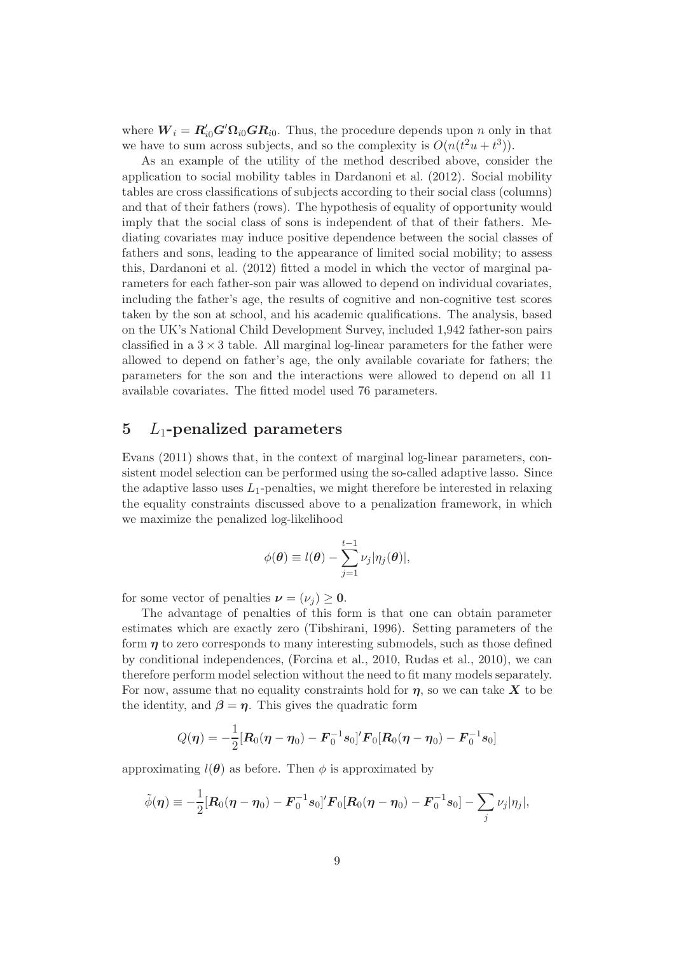where  $W_i = R'_{i0} G' \Omega_{i0} G R_{i0}$ . Thus, the procedure depends upon n only in that we have to sum across subjects, and so the complexity is  $O(n(t^2u+t^3))$ .

As an example of the utility of the method described above, consider the application to social mobility tables in Dardanoni et al. (2012). Social mobility tables are cross classifications of subjects according to their social class (columns) and that of their fathers (rows). The hypothesis of equality of opportunity would imply that the social class of sons is independent of that of their fathers. Mediating covariates may induce positive dependence between the social classes of fathers and sons, leading to the appearance of limited social mobility; to assess this, Dardanoni et al. (2012) fitted a model in which the vector of marginal parameters for each father-son pair was allowed to depend on individual covariates, including the father's age, the results of cognitive and non-cognitive test scores taken by the son at school, and his academic qualifications. The analysis, based on the UK's National Child Development Survey, included 1,942 father-son pairs classified in a  $3 \times 3$  table. All marginal log-linear parameters for the father were allowed to depend on father's age, the only available covariate for fathers; the parameters for the son and the interactions were allowed to depend on all 11 available covariates. The fitted model used 76 parameters.

# 5  $L_1$ -penalized parameters

Evans (2011) shows that, in the context of marginal log-linear parameters, consistent model selection can be performed using the so-called adaptive lasso. Since the adaptive lasso uses  $L_1$ -penalties, we might therefore be interested in relaxing the equality constraints discussed above to a penalization framework, in which we maximize the penalized log-likelihood

$$
\phi(\boldsymbol{\theta}) \equiv l(\boldsymbol{\theta}) - \sum_{j=1}^{t-1} \nu_j |\eta_j(\boldsymbol{\theta})|,
$$

for some vector of penalties  $\nu = (\nu_i) \geq 0$ .

The advantage of penalties of this form is that one can obtain parameter estimates which are exactly zero (Tibshirani, 1996). Setting parameters of the form  $\eta$  to zero corresponds to many interesting submodels, such as those defined by conditional independences, (Forcina et al., 2010, Rudas et al., 2010), we can therefore perform model selection without the need to fit many models separately. For now, assume that no equality constraints hold for  $\eta$ , so we can take X to be the identity, and  $\beta = \eta$ . This gives the quadratic form

$$
Q(\boldsymbol{\eta}) = -\frac{1}{2} [\boldsymbol{R}_0(\boldsymbol{\eta} - \boldsymbol{\eta}_0) - \boldsymbol{F}_0^{-1} \boldsymbol{s}_0]' \boldsymbol{F}_0 [\boldsymbol{R}_0(\boldsymbol{\eta} - \boldsymbol{\eta}_0) - \boldsymbol{F}_0^{-1} \boldsymbol{s}_0]
$$

approximating  $l(\theta)$  as before. Then  $\phi$  is approximated by

$$
\tilde{\phi}(\boldsymbol{\eta}) \equiv -\frac{1}{2} [\boldsymbol{R}_0(\boldsymbol{\eta} - \boldsymbol{\eta}_0) - \boldsymbol{F}_0^{-1} \boldsymbol{s}_0]' \boldsymbol{F}_0 [\boldsymbol{R}_0(\boldsymbol{\eta} - \boldsymbol{\eta}_0) - \boldsymbol{F}_0^{-1} \boldsymbol{s}_0] - \sum_j \nu_j |\eta_j|,
$$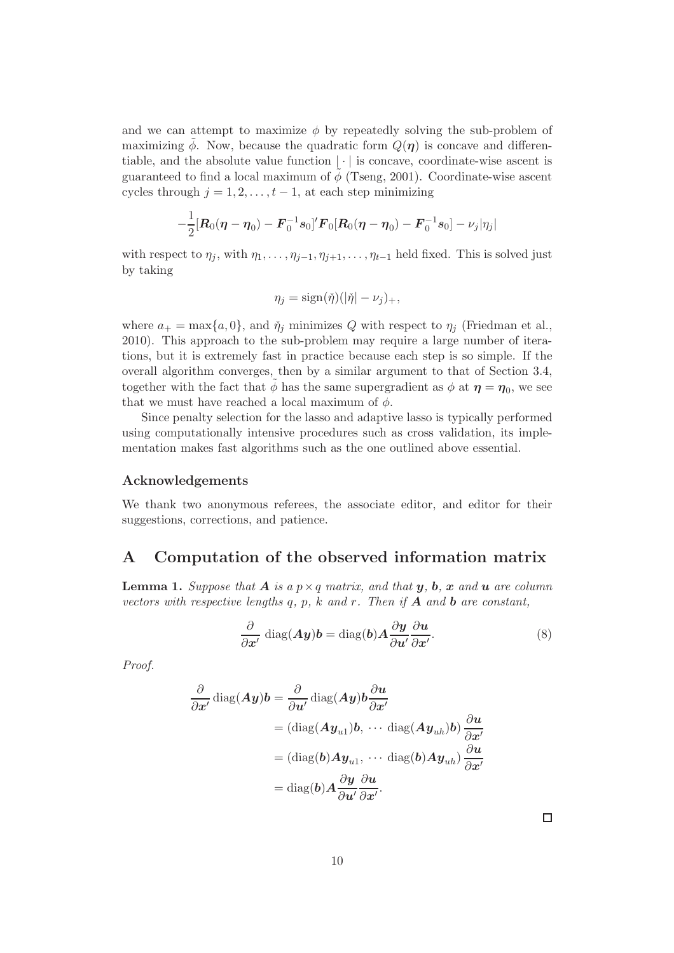and we can attempt to maximize  $\phi$  by repeatedly solving the sub-problem of maximizing  $\phi$ . Now, because the quadratic form  $Q(\eta)$  is concave and differentiable, and the absolute value function  $|\cdot|$  is concave, coordinate-wise ascent is guaranteed to find a local maximum of  $\phi$  (Tseng, 2001). Coordinate-wise ascent cycles through  $j = 1, 2, \ldots, t - 1$ , at each step minimizing

$$
-\frac{1}{2}[\boldsymbol{R}_0(\boldsymbol{\eta}-\boldsymbol{\eta}_0)-\boldsymbol{F}_0^{-1}\boldsymbol{s}_0]'\boldsymbol{F}_0[\boldsymbol{R}_0(\boldsymbol{\eta}-\boldsymbol{\eta}_0)-\boldsymbol{F}_0^{-1}\boldsymbol{s}_0]-\nu_j|\eta_j|
$$

with respect to  $\eta_j$ , with  $\eta_1, \ldots, \eta_{j-1}, \eta_{j+1}, \ldots, \eta_{t-1}$  held fixed. This is solved just by taking

$$
\eta_j = \text{sign}(\check{\eta})(|\check{\eta}| - \nu_j)_+,
$$

where  $a_+ = \max\{a, 0\}$ , and  $\check{\eta}_i$  minimizes Q with respect to  $\eta_i$  (Friedman et al., 2010). This approach to the sub-problem may require a large number of iterations, but it is extremely fast in practice because each step is so simple. If the overall algorithm converges, then by a similar argument to that of Section 3.4, together with the fact that  $\tilde{\phi}$  has the same supergradient as  $\phi$  at  $\eta = \eta_0$ , we see that we must have reached a local maximum of  $\phi$ .

Since penalty selection for the lasso and adaptive lasso is typically performed using computationally intensive procedures such as cross validation, its implementation makes fast algorithms such as the one outlined above essential.

#### Acknowledgements

We thank two anonymous referees, the associate editor, and editor for their suggestions, corrections, and patience.

## A Computation of the observed information matrix

**Lemma 1.** Suppose that **A** is a  $p \times q$  matrix, and that **y**, **b**, **x** and **u** are column *vectors with respective lengths* q*,* p*,* k *and* r*. Then if* A *and* b *are constant,*

$$
\frac{\partial}{\partial x'} \operatorname{diag}(A y) b = \operatorname{diag}(b) A \frac{\partial y}{\partial u'} \frac{\partial u}{\partial x'}.
$$
 (8)

*Proof.*

$$
\frac{\partial}{\partial x'} \operatorname{diag}(Ay)b = \frac{\partial}{\partial u'} \operatorname{diag}(Ay)b \frac{\partial u}{\partial x'}
$$
  
=  $(\operatorname{diag}(Ay_{u1})b, \cdots \operatorname{diag}(Ay_{uh})b) \frac{\partial u}{\partial x'}$   
=  $(\operatorname{diag}(b)Ay_{u1}, \cdots \operatorname{diag}(b)Ay_{uh}) \frac{\partial u}{\partial x'}$   
=  $\operatorname{diag}(b)A \frac{\partial y}{\partial u'} \frac{\partial u}{\partial x'}$ .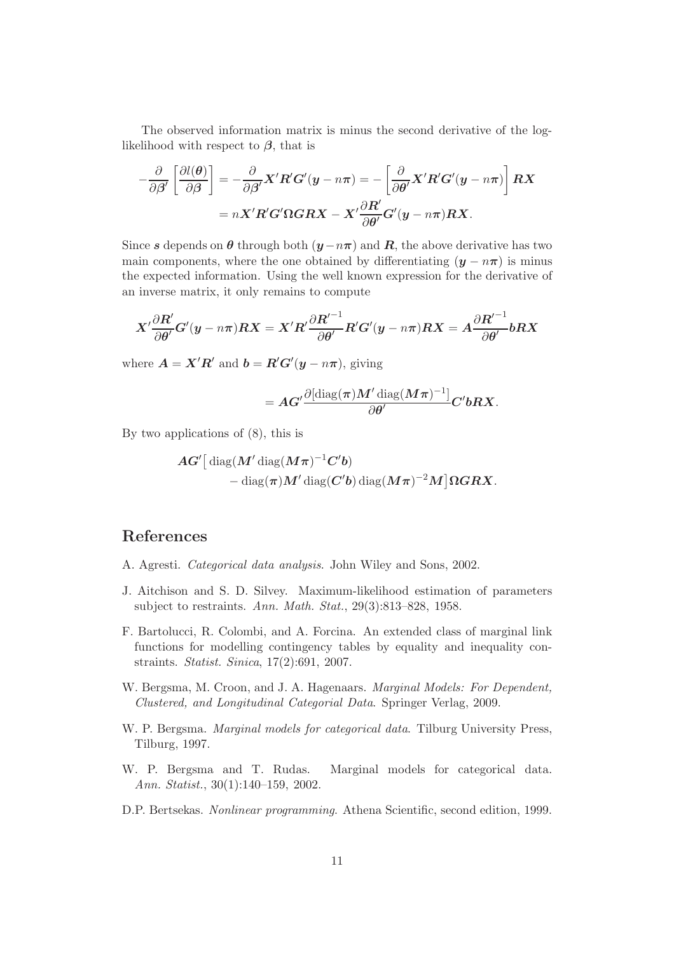The observed information matrix is minus the second derivative of the loglikelihood with respect to  $\beta$ , that is

$$
-\frac{\partial}{\partial \beta'} \left[ \frac{\partial l(\theta)}{\partial \beta} \right] = -\frac{\partial}{\partial \beta'} X' R' G' (y - n\pi) = -\left[ \frac{\partial}{\partial \theta'} X' R' G' (y - n\pi) \right] RX = nX' R' G' \Omega G R X - X' \frac{\partial R'}{\partial \theta'} G' (y - n\pi) RX.
$$

Since s depends on  $\theta$  through both  $(y-n\pi)$  and  $\mathbf{R}$ , the above derivative has two main components, where the one obtained by differentiating  $(y - n\pi)$  is minus the expected information. Using the well known expression for the derivative of an inverse matrix, it only remains to compute

$$
X^{\prime} \frac{\partial R^{\prime}}{\partial \theta^{\prime}} G^{\prime}(y - n\pi) R X = X^{\prime} R^{\prime} \frac{\partial R^{\prime - 1}}{\partial \theta^{\prime}} R^{\prime} G^{\prime}(y - n\pi) R X = A \frac{\partial R^{\prime - 1}}{\partial \theta^{\prime}} b R X
$$

where  $\mathbf{A} = \mathbf{X}'\mathbf{R}'$  and  $\mathbf{b} = \mathbf{R}'\mathbf{G}'(\mathbf{y} - n\pi)$ , giving

$$
= A G' \frac{\partial [\operatorname{diag}(\boldsymbol{\pi}) \boldsymbol{M}' \operatorname{diag}(\boldsymbol{M} \boldsymbol{\pi})^{-1}]}{\partial \boldsymbol{\theta}'} C' \boldsymbol{b} R X.
$$

By two applications of (8), this is

$$
\begin{aligned} &\boldsymbol{A}\boldsymbol{G}^{\prime}\big[\operatorname{diag}(\boldsymbol{M}^{\prime}\operatorname{diag}(\boldsymbol{M}\boldsymbol{\pi})^{-1}\boldsymbol{C}^{\prime}\boldsymbol{b})\\ &\quad-\operatorname{diag}(\boldsymbol{\pi})\boldsymbol{M}^{\prime}\operatorname{diag}(\boldsymbol{C}^{\prime}\boldsymbol{b})\operatorname{diag}(\boldsymbol{M}\boldsymbol{\pi})^{-2}\boldsymbol{M}\big]\boldsymbol{\Omega}\boldsymbol{G}\boldsymbol{R}\boldsymbol{X}.\end{aligned}
$$

## References

- A. Agresti. *Categorical data analysis*. John Wiley and Sons, 2002.
- J. Aitchison and S. D. Silvey. Maximum-likelihood estimation of parameters subject to restraints. *Ann. Math. Stat.*, 29(3):813–828, 1958.
- F. Bartolucci, R. Colombi, and A. Forcina. An extended class of marginal link functions for modelling contingency tables by equality and inequality constraints. *Statist. Sinica*, 17(2):691, 2007.
- W. Bergsma, M. Croon, and J. A. Hagenaars. *Marginal Models: For Dependent, Clustered, and Longitudinal Categorial Data*. Springer Verlag, 2009.
- W. P. Bergsma. *Marginal models for categorical data*. Tilburg University Press, Tilburg, 1997.
- W. P. Bergsma and T. Rudas. Marginal models for categorical data. *Ann. Statist.*, 30(1):140–159, 2002.
- D.P. Bertsekas. *Nonlinear programming*. Athena Scientific, second edition, 1999.